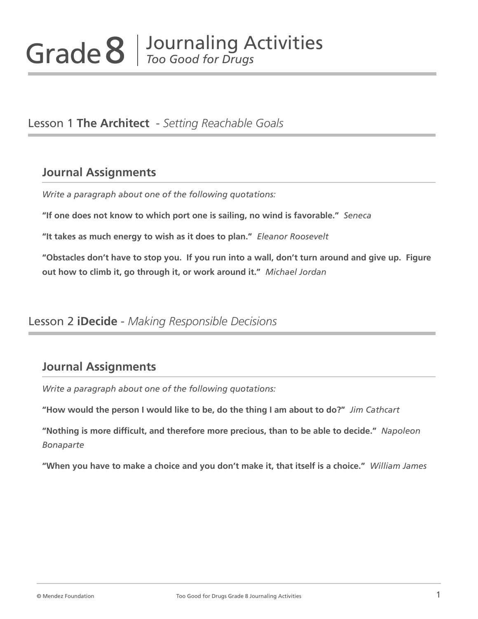### Lesson 1 **The Architect** - *Setting Reachable Goals*

#### **Journal Assignments**

*Write a paragraph about one of the following quotations:*

**"If one does not know to which port one is sailing, no wind is favorable."** *Seneca*

**"It takes as much energy to wish as it does to plan."** *Eleanor Roosevelt*

**"Obstacles don't have to stop you. If you run into a wall, don't turn around and give up. Figure out how to climb it, go through it, or work around it."** *Michael Jordan*

#### Lesson 2 **iDecide** - *Making Responsible Decisions*

# **Journal Assignments**

*Write a paragraph about one of the following quotations:*

**"How would the person I would like to be, do the thing I am about to do?"** *Jim Cathcart*

**"Nothing is more difficult, and therefore more precious, than to be able to decide."** *Napoleon Bonaparte*

**"When you have to make a choice and you don't make it, that itself is a choice."** *William James*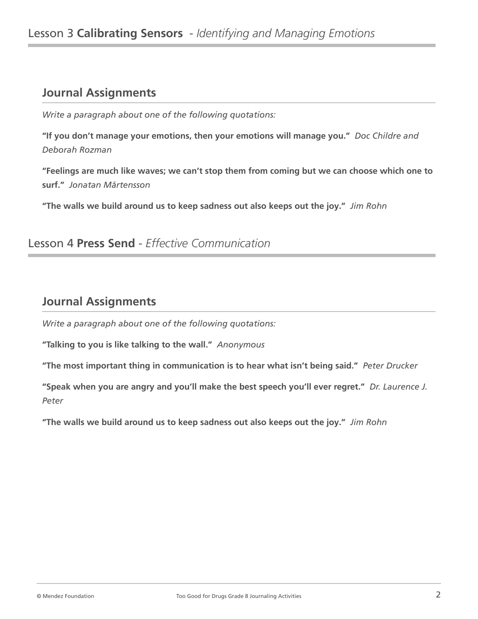### **Journal Assignments**

*Write a paragraph about one of the following quotations:*

**"If you don't manage your emotions, then your emotions will manage you."** *Doc Childre and Deborah Rozman*

**"Feelings are much like waves; we can't stop them from coming but we can choose which one to surf."** *Jonatan Mårtensson*

**"The walls we build around us to keep sadness out also keeps out the joy."** *Jim Rohn*

### Lesson 4 **Press Send** - *Effective Communication*

#### **Journal Assignments**

*Write a paragraph about one of the following quotations:*

**"Talking to you is like talking to the wall."** *Anonymous*

**"The most important thing in communication is to hear what isn't being said."** *Peter Drucker*

**"Speak when you are angry and you'll make the best speech you'll ever regret."** *Dr. Laurence J. Peter*

**"The walls we build around us to keep sadness out also keeps out the joy."** *Jim Rohn*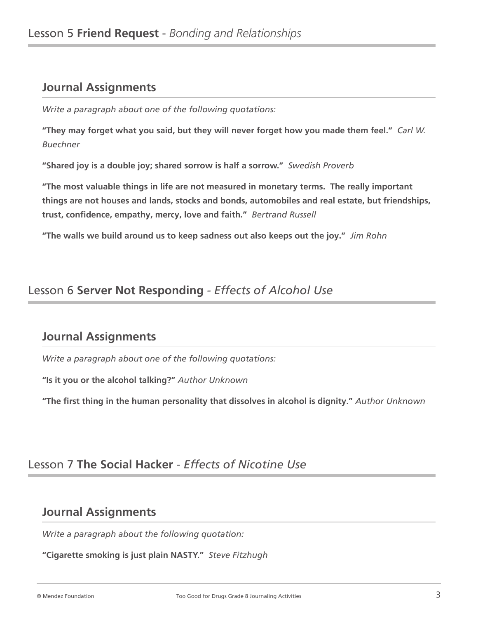# **Journal Assignments**

*Write a paragraph about one of the following quotations:*

**"They may forget what you said, but they will never forget how you made them feel."** *Carl W. Buechner*

**"Shared joy is a double joy; shared sorrow is half a sorrow."** *Swedish Proverb*

**"The most valuable things in life are not measured in monetary terms. The really important things are not houses and lands, stocks and bonds, automobiles and real estate, but friendships, trust, confidence, empathy, mercy, love and faith."** *Bertrand Russell*

**"The walls we build around us to keep sadness out also keeps out the joy."** *Jim Rohn*

#### Lesson 6 **Server Not Responding** *- Effects of Alcohol Use*

### **Journal Assignments**

*Write a paragraph about one of the following quotations:*

**"Is it you or the alcohol talking?"** *Author Unknown*

**"The first thing in the human personality that dissolves in alcohol is dignity."** *Author Unknown*

# Lesson 7 **The Social Hacker** *- Effects of Nicotine Use*

#### **Journal Assignments**

*Write a paragraph about the following quotation:*

**"Cigarette smoking is just plain NASTY."** *Steve Fitzhugh*